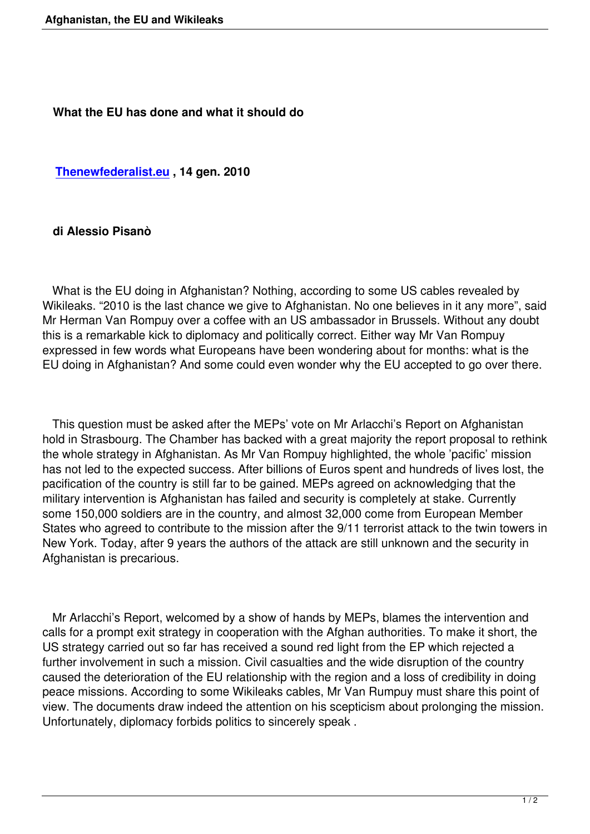**Thenewfederalist.eu , 14 gen. 2010**

## **[di Alessio Pisanò](http://www.thenewfederalist.eu/?article3924)**

 What is the EU doing in Afghanistan? Nothing, according to some US cables revealed by Wikileaks. "2010 is the last chance we give to Afghanistan. No one believes in it any more", said Mr Herman Van Rompuy over a coffee with an US ambassador in Brussels. Without any doubt this is a remarkable kick to diplomacy and politically correct. Either way Mr Van Rompuy expressed in few words what Europeans have been wondering about for months: what is the EU doing in Afghanistan? And some could even wonder why the EU accepted to go over there.

 This question must be asked after the MEPs' vote on Mr Arlacchi's Report on Afghanistan hold in Strasbourg. The Chamber has backed with a great majority the report proposal to rethink the whole strategy in Afghanistan. As Mr Van Rompuy highlighted, the whole 'pacific' mission has not led to the expected success. After billions of Euros spent and hundreds of lives lost, the pacification of the country is still far to be gained. MEPs agreed on acknowledging that the military intervention is Afghanistan has failed and security is completely at stake. Currently some 150,000 soldiers are in the country, and almost 32,000 come from European Member States who agreed to contribute to the mission after the 9/11 terrorist attack to the twin towers in New York. Today, after 9 years the authors of the attack are still unknown and the security in Afghanistan is precarious.

 Mr Arlacchi's Report, welcomed by a show of hands by MEPs, blames the intervention and calls for a prompt exit strategy in cooperation with the Afghan authorities. To make it short, the US strategy carried out so far has received a sound red light from the EP which rejected a further involvement in such a mission. Civil casualties and the wide disruption of the country caused the deterioration of the EU relationship with the region and a loss of credibility in doing peace missions. According to some Wikileaks cables, Mr Van Rumpuy must share this point of view. The documents draw indeed the attention on his scepticism about prolonging the mission. Unfortunately, diplomacy forbids politics to sincerely speak .